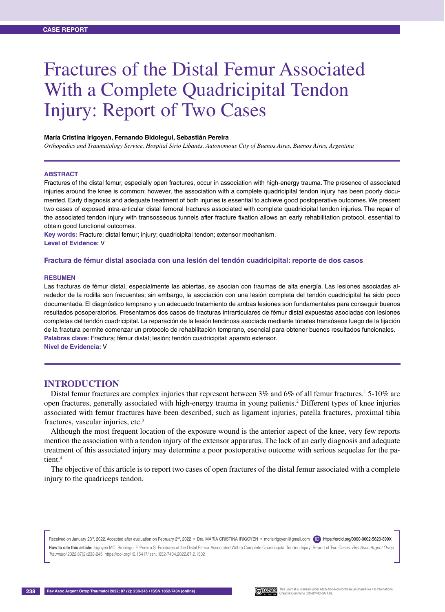# Fractures of the Distal Femur Associated With a Complete Quadricipital Tendon Injury: Report of Two Cases

#### **María Cristina Irigoyen, Fernando Bidolegui, Sebastián Pereira**

*Orthopedics and Traumatology Service, Hospital Sirio Libanés, Autonomous City of Buenos Aires, Buenos Aires, Argentina*

#### **Abstract**

Fractures of the distal femur, especially open fractures, occur in association with high-energy trauma. The presence of associated injuries around the knee is common; however, the association with a complete quadricipital tendon injury has been poorly documented. Early diagnosis and adequate treatment of both injuries is essential to achieve good postoperative outcomes. We present two cases of exposed intra-articular distal femoral fractures associated with complete quadricipital tendon injuries. The repair of the associated tendon injury with transosseous tunnels after fracture fixation allows an early rehabilitation protocol, essential to obtain good functional outcomes.

**Key words:** Fracture; distal femur; injury; quadricipital tendon; extensor mechanism. **Level of Evidence:** V

#### **Fractura de fémur distal asociada con una lesión del tendón cuadricipital: reporte de dos casos**

#### **RESUMEN**

Las fracturas de fémur distal, especialmente las abiertas, se asocian con traumas de alta energía. Las lesiones asociadas alrededor de la rodilla son frecuentes; sin embargo, la asociación con una lesión completa del tendón cuadricipital ha sido poco documentada. El diagnóstico temprano y un adecuado tratamiento de ambas lesiones son fundamentales para conseguir buenos resultados posoperatorios. Presentamos dos casos de fracturas intrarticulares de fémur distal expuestas asociadas con lesiones completas del tendón cuadricipital. La reparación de la lesión tendinosa asociada mediante túneles transóseos luego de la fijación de la fractura permite comenzar un protocolo de rehabilitación temprano, esencial para obtener buenos resultados funcionales. **Palabras clave:** Fractura; fémur distal; lesión; tendón cuadricipital; aparato extensor. **Nivel de Evidencia:** V

### **INTRODUCTION**

Distal femur fractures are complex injuries that represent between  $3\%$  and  $6\%$  of all femur fractures.<sup>1</sup> 5-10% are open fractures, generally associated with high-energy trauma in young patients.2 Different types of knee injuries associated with femur fractures have been described, such as ligament injuries, patella fractures, proximal tibia fractures, vascular injuries, etc.3

Although the most frequent location of the exposure wound is the anterior aspect of the knee, very few reports mention the association with a tendon injury of the extensor apparatus. The lack of an early diagnosis and adequate treatment of this associated injury may determine a poor postoperative outcome with serious sequelae for the patient.<sup>4</sup>

The objective of this article is to report two cases of open fractures of the distal femur associated with a complete injury to the quadriceps tendon.

Received on January 23<sup>rd</sup>, 2022. Accepted after evaluation on February 2<sup>nd</sup>, 2022 • Dra. MARIA CRISTINA IRIGOYEN • mcrisirigoyen@gmail.com **D**https://orcid.org/0000-0002-5620-899X

**How to cite this article:** Irigoyen MC, Bidolegui F, Pereira S. Fractures of the Distal Femur Associated With a Complete Quadricipital Tendon Injury: Report of Two Cases. *Rev Asoc Argent Ortop Traumatol* 2022;87(2):238-245. https://doi.org/10.15417/issn.1852-7434.2022.87.2.1502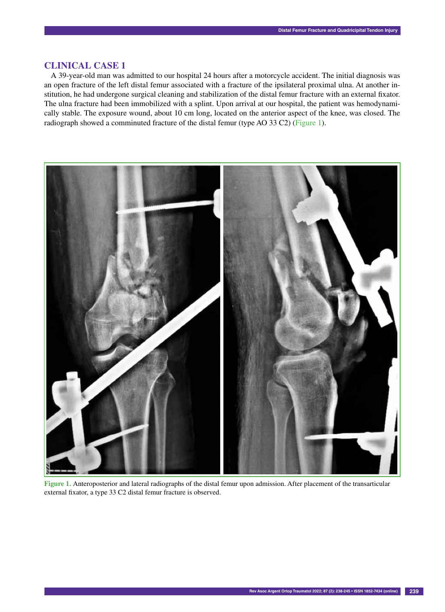## **CLINICAL CASE 1**

A 39-year-old man was admitted to our hospital 24 hours after a motorcycle accident. The initial diagnosis was an open fracture of the left distal femur associated with a fracture of the ipsilateral proximal ulna. At another institution, he had undergone surgical cleaning and stabilization of the distal femur fracture with an external fixator. The ulna fracture had been immobilized with a splint. Upon arrival at our hospital, the patient was hemodynamically stable. The exposure wound, about 10 cm long, located on the anterior aspect of the knee, was closed. The radiograph showed a comminuted fracture of the distal femur (type AO 33 C2) (Figure 1).



**Figure 1.** Anteroposterior and lateral radiographs of the distal femur upon admission. After placement of the transarticular external fixator, a type 33 C2 distal femur fracture is observed.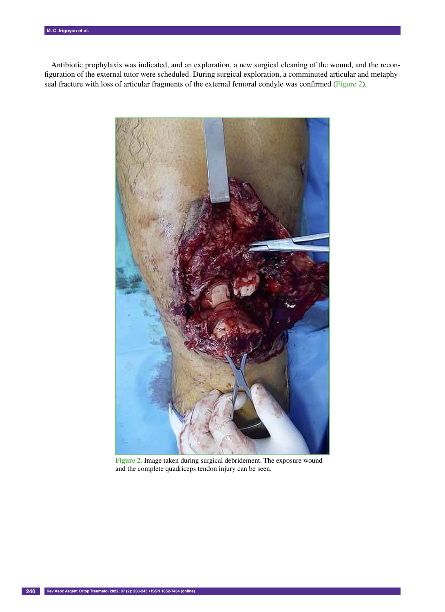Antibiotic prophylaxis was indicated, and an exploration, a new surgical cleaning of the wound, and the reconfiguration of the external tutor were scheduled. During surgical exploration, a comminuted articular and metaphyseal fracture with loss of articular fragments of the external femoral condyle was confirmed (Figure 2).



**Figure 2.** Image taken during surgical debridement. The exposure wound and the complete quadriceps tendon injury can be seen.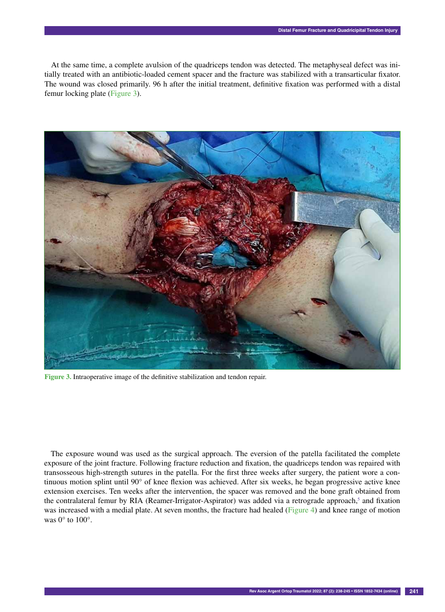At the same time, a complete avulsion of the quadriceps tendon was detected. The metaphyseal defect was initially treated with an antibiotic-loaded cement spacer and the fracture was stabilized with a transarticular fixator. The wound was closed primarily. 96 h after the initial treatment, definitive fixation was performed with a distal femur locking plate (Figure 3).



**Figure 3.** Intraoperative image of the definitive stabilization and tendon repair.

The exposure wound was used as the surgical approach. The eversion of the patella facilitated the complete exposure of the joint fracture. Following fracture reduction and fixation, the quadriceps tendon was repaired with transosseous high-strength sutures in the patella. For the first three weeks after surgery, the patient wore a continuous motion splint until 90° of knee flexion was achieved. After six weeks, he began progressive active knee extension exercises. Ten weeks after the intervention, the spacer was removed and the bone graft obtained from the contralateral femur by RIA (Reamer-Irrigator-Aspirator) was added via a retrograde approach,<sup>5</sup> and fixation was increased with a medial plate. At seven months, the fracture had healed (Figure 4) and knee range of motion was  $0^\circ$  to  $100^\circ$ .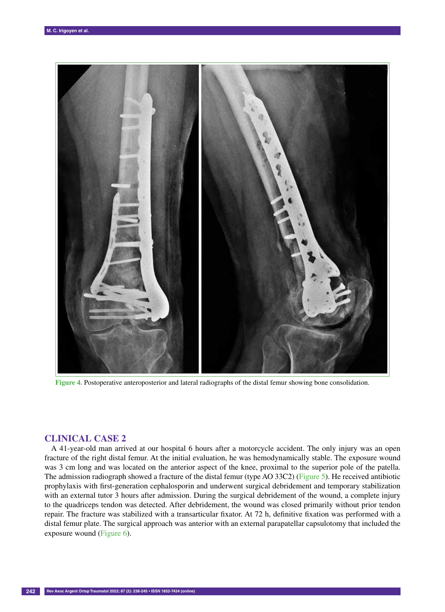

**Figure 4.** Postoperative anteroposterior and lateral radiographs of the distal femur showing bone consolidation.

## **CLINICAL CASE 2**

A 41-year-old man arrived at our hospital 6 hours after a motorcycle accident. The only injury was an open fracture of the right distal femur. At the initial evaluation, he was hemodynamically stable. The exposure wound was 3 cm long and was located on the anterior aspect of the knee, proximal to the superior pole of the patella. The admission radiograph showed a fracture of the distal femur (type AO 33C2) (Figure 5). He received antibiotic prophylaxis with first-generation cephalosporin and underwent surgical debridement and temporary stabilization with an external tutor 3 hours after admission. During the surgical debridement of the wound, a complete injury to the quadriceps tendon was detected. After debridement, the wound was closed primarily without prior tendon repair. The fracture was stabilized with a transarticular fixator. At 72 h, definitive fixation was performed with a distal femur plate. The surgical approach was anterior with an external parapatellar capsulotomy that included the exposure wound (Figure 6).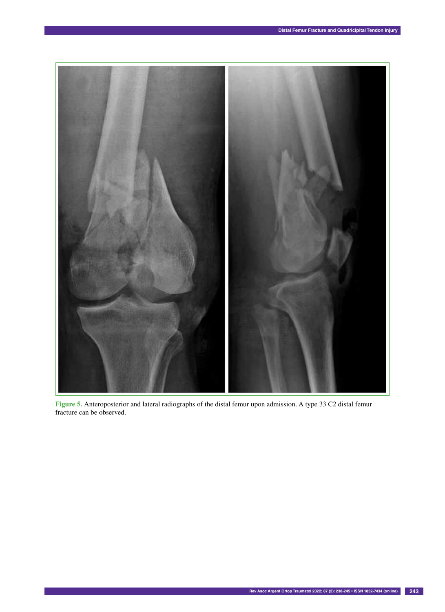

**Figure 5.** Anteroposterior and lateral radiographs of the distal femur upon admission. A type 33 C2 distal femur fracture can be observed.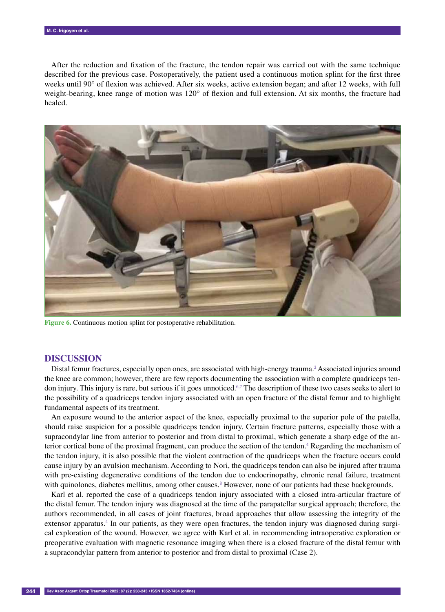After the reduction and fixation of the fracture, the tendon repair was carried out with the same technique described for the previous case. Postoperatively, the patient used a continuous motion splint for the first three weeks until 90° of flexion was achieved. After six weeks, active extension began; and after 12 weeks, with full weight-bearing, knee range of motion was 120° of flexion and full extension. At six months, the fracture had healed.



**Figure 6.** Continuous motion splint for postoperative rehabilitation.

### **DISCUSSION**

Distal femur fractures, especially open ones, are associated with high-energy trauma.<sup>2</sup> Associated injuries around the knee are common; however, there are few reports documenting the association with a complete quadriceps tendon injury. This injury is rare, but serious if it goes unnoticed.6,7 The description of these two cases seeks to alert to the possibility of a quadriceps tendon injury associated with an open fracture of the distal femur and to highlight fundamental aspects of its treatment.

An exposure wound to the anterior aspect of the knee, especially proximal to the superior pole of the patella, should raise suspicion for a possible quadriceps tendon injury. Certain fracture patterns, especially those with a supracondylar line from anterior to posterior and from distal to proximal, which generate a sharp edge of the anterior cortical bone of the proximal fragment, can produce the section of the tendon.<sup>4</sup> Regarding the mechanism of the tendon injury, it is also possible that the violent contraction of the quadriceps when the fracture occurs could cause injury by an avulsion mechanism. According to Nori, the quadriceps tendon can also be injured after trauma with pre-existing degenerative conditions of the tendon due to endocrinopathy, chronic renal failure, treatment with quinolones, diabetes mellitus, among other causes.<sup>8</sup> However, none of our patients had these backgrounds.

Karl et al. reported the case of a quadriceps tendon injury associated with a closed intra-articular fracture of the distal femur. The tendon injury was diagnosed at the time of the parapatellar surgical approach; therefore, the authors recommended, in all cases of joint fractures, broad approaches that allow assessing the integrity of the extensor apparatus.<sup>4</sup> In our patients, as they were open fractures, the tendon injury was diagnosed during surgical exploration of the wound. However, we agree with Karl et al. in recommending intraoperative exploration or preoperative evaluation with magnetic resonance imaging when there is a closed fracture of the distal femur with a supracondylar pattern from anterior to posterior and from distal to proximal (Case 2).